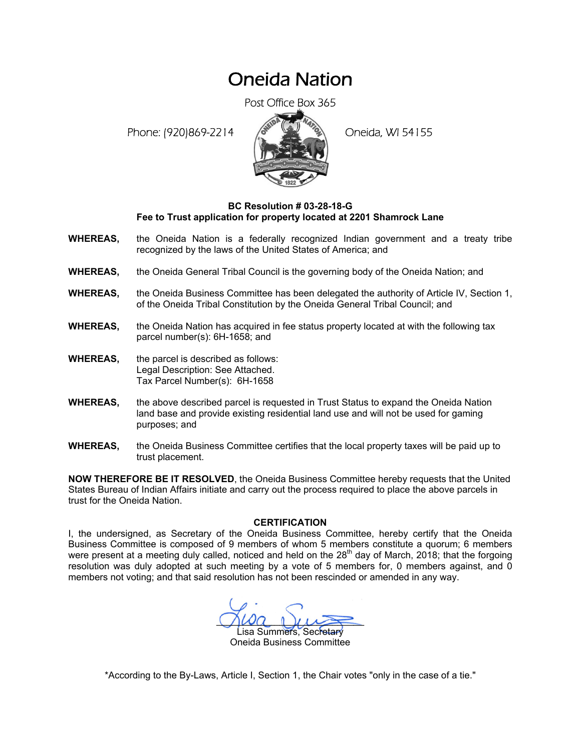## Oneida Nation

Post Office Box 365

Phone: (920)869-2214 (8 22 3) Oneida, WI 54155



## **BC Resolution # 03-28-18-G Fee to Trust application for property located at 2201 Shamrock Lane**

- **WHEREAS,** the Oneida Nation is a federally recognized Indian government and a treaty tribe recognized by the laws of the United States of America; and
- **WHEREAS,** the Oneida General Tribal Council is the governing body of the Oneida Nation; and
- **WHEREAS,** the Oneida Business Committee has been delegated the authority of Article IV, Section 1, of the Oneida Tribal Constitution by the Oneida General Tribal Council; and
- **WHEREAS,** the Oneida Nation has acquired in fee status property located at with the following tax parcel number(s): 6H-1658; and
- **WHEREAS,** the parcel is described as follows: Legal Description: See Attached. Tax Parcel Number(s): 6H-1658
- **WHEREAS,** the above described parcel is requested in Trust Status to expand the Oneida Nation land base and provide existing residential land use and will not be used for gaming purposes; and
- **WHEREAS,** the Oneida Business Committee certifies that the local property taxes will be paid up to trust placement.

**NOW THEREFORE BE IT RESOLVED**, the Oneida Business Committee hereby requests that the United States Bureau of Indian Affairs initiate and carry out the process required to place the above parcels in trust for the Oneida Nation.

## **CERTIFICATION**

I, the undersigned, as Secretary of the Oneida Business Committee, hereby certify that the Oneida Business Committee is composed of 9 members of whom 5 members constitute a quorum; 6 members were present at a meeting duly called, noticed and held on the  $28<sup>th</sup>$  day of March, 2018; that the forgoing resolution was duly adopted at such meeting by a vote of 5 members for, 0 members against, and 0 members not voting; and that said resolution has not been rescinded or amended in any way.

 $M^2$ isa Summers, Secretary Oneida Business Committee

\*According to the By-Laws, Article I, Section 1, the Chair votes "only in the case of a tie."